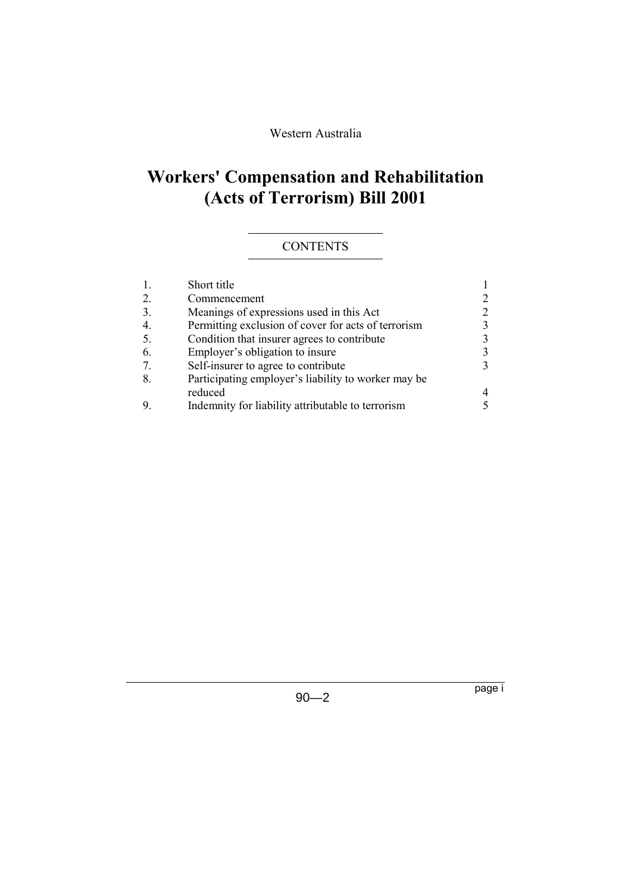### Western Australia

# **Workers' Compensation and Rehabilitation (Acts of Terrorism) Bill 2001**

## **CONTENTS**

|    | Short title                                         |              |
|----|-----------------------------------------------------|--------------|
| 2. | Commencement                                        | 2            |
| 3. | Meanings of expressions used in this Act            | 2            |
| 4. | Permitting exclusion of cover for acts of terrorism | $\mathbf{3}$ |
| 5. | Condition that insurer agrees to contribute         | 3            |
| 6. | Employer's obligation to insure                     | 3            |
|    | Self-insurer to agree to contribute                 | $\mathbf{3}$ |
| 8. | Participating employer's liability to worker may be |              |
|    | reduced                                             | 4            |
|    | Indemnity for liability attributable to terrorism   | 5            |
|    |                                                     |              |

page i

90—2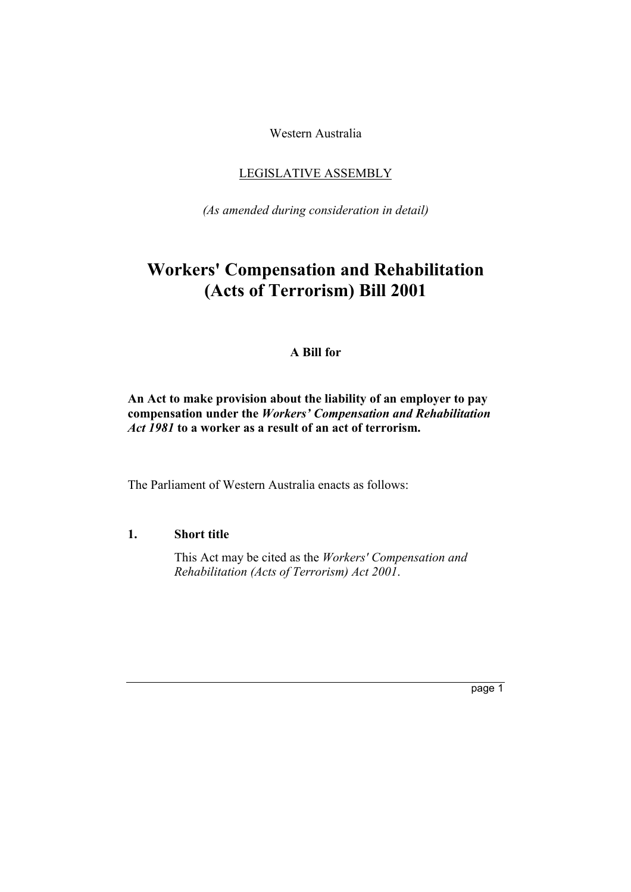Western Australia

### LEGISLATIVE ASSEMBLY

*(As amended during consideration in detail)*

## **Workers' Compensation and Rehabilitation (Acts of Terrorism) Bill 2001**

#### **A Bill for**

#### **An Act to make provision about the liability of an employer to pay compensation under the** *Workersí Compensation and Rehabilitation Act 1981* **to a worker as a result of an act of terrorism.**

The Parliament of Western Australia enacts as follows:

#### **1. Short title**

This Act may be cited as the *Workers' Compensation and Rehabilitation (Acts of Terrorism) Act 2001*.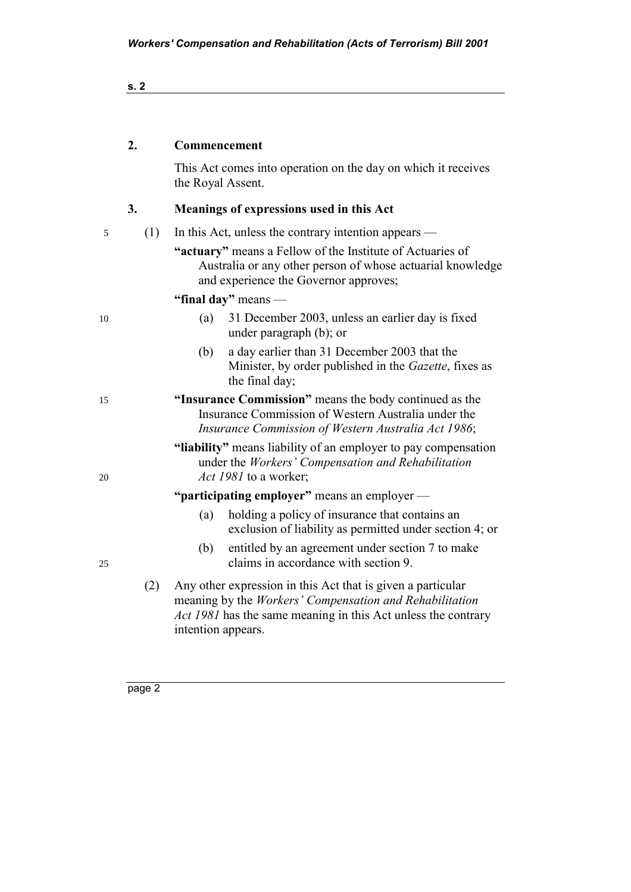| ×<br>M.<br>۰. | ×. |
|---------------|----|
|               |    |

#### **2. Commencement**

This Act comes into operation on the day on which it receives the Royal Assent.

## **3. Meanings of expressions used in this Act**

| 5  | (1)                                          | In this Act, unless the contrary intention appears —                                                                                                                                                          |  |  |  |
|----|----------------------------------------------|---------------------------------------------------------------------------------------------------------------------------------------------------------------------------------------------------------------|--|--|--|
|    |                                              | "actuary" means a Fellow of the Institute of Actuaries of<br>Australia or any other person of whose actuarial knowledge<br>and experience the Governor approves;                                              |  |  |  |
|    |                                              | "final day" means $-$                                                                                                                                                                                         |  |  |  |
| 10 |                                              | (a)<br>31 December 2003, unless an earlier day is fixed<br>under paragraph (b); or                                                                                                                            |  |  |  |
|    |                                              | a day earlier than 31 December 2003 that the<br>(b)<br>Minister, by order published in the Gazette, fixes as<br>the final day;                                                                                |  |  |  |
| 15 |                                              | "Insurance Commission" means the body continued as the<br>Insurance Commission of Western Australia under the<br>Insurance Commission of Western Australia Act 1986;                                          |  |  |  |
| 20 |                                              | "liability" means liability of an employer to pay compensation<br>under the Workers' Compensation and Rehabilitation<br><i>Act 1981</i> to a worker;                                                          |  |  |  |
|    | "participating employer" means an employer — |                                                                                                                                                                                                               |  |  |  |
|    |                                              | holding a policy of insurance that contains an<br>(a)<br>exclusion of liability as permitted under section 4; or                                                                                              |  |  |  |
| 25 |                                              | entitled by an agreement under section 7 to make<br>(b)<br>claims in accordance with section 9.                                                                                                               |  |  |  |
|    | (2)                                          | Any other expression in this Act that is given a particular<br>meaning by the Workers' Compensation and Rehabilitation<br>Act 1981 has the same meaning in this Act unless the contrary<br>intention appears. |  |  |  |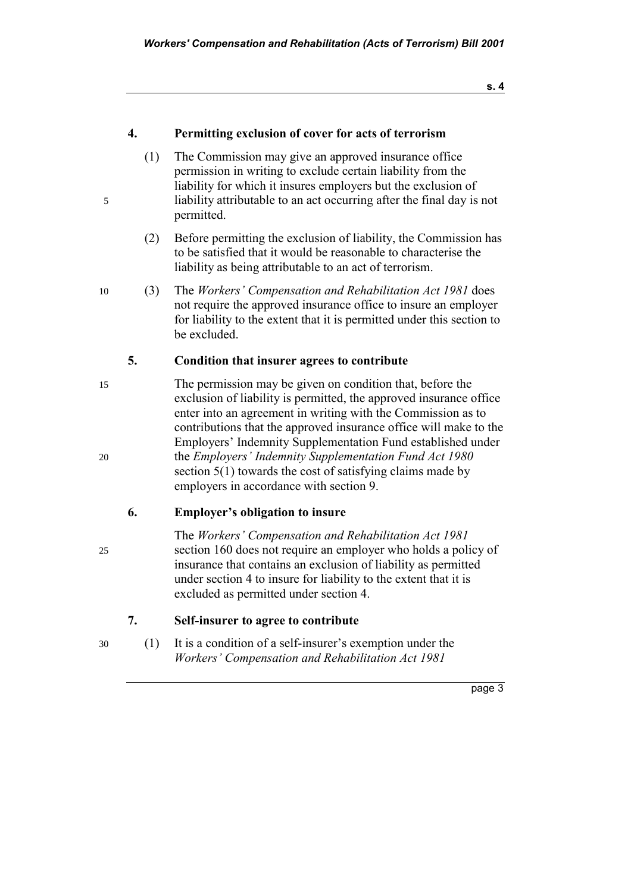**s. 4**

#### **4. Permitting exclusion of cover for acts of terrorism**

- (1) The Commission may give an approved insurance office permission in writing to exclude certain liability from the liability for which it insures employers but the exclusion of 5 liability attributable to an act occurring after the final day is not permitted.
	- (2) Before permitting the exclusion of liability, the Commission has to be satisfied that it would be reasonable to characterise the liability as being attributable to an act of terrorism.
- 10 (3) The *Workersí Compensation and Rehabilitation Act 1981* does not require the approved insurance office to insure an employer for liability to the extent that it is permitted under this section to be excluded.

#### **5. Condition that insurer agrees to contribute**

15 The permission may be given on condition that, before the exclusion of liability is permitted, the approved insurance office enter into an agreement in writing with the Commission as to contributions that the approved insurance office will make to the Employers' Indemnity Supplementation Fund established under 20 the *Employersí Indemnity Supplementation Fund Act 1980* section 5(1) towards the cost of satisfying claims made by employers in accordance with section 9.

#### **6.** Employer's obligation to insure

The Workers' Compensation and Rehabilitation Act 1981 25 section 160 does not require an employer who holds a policy of insurance that contains an exclusion of liability as permitted under section 4 to insure for liability to the extent that it is excluded as permitted under section 4.

- **7. Self-insurer to agree to contribute**
- $30$  (1) It is a condition of a self-insurer's exemption under the *Workers' Compensation and Rehabilitation Act 1981*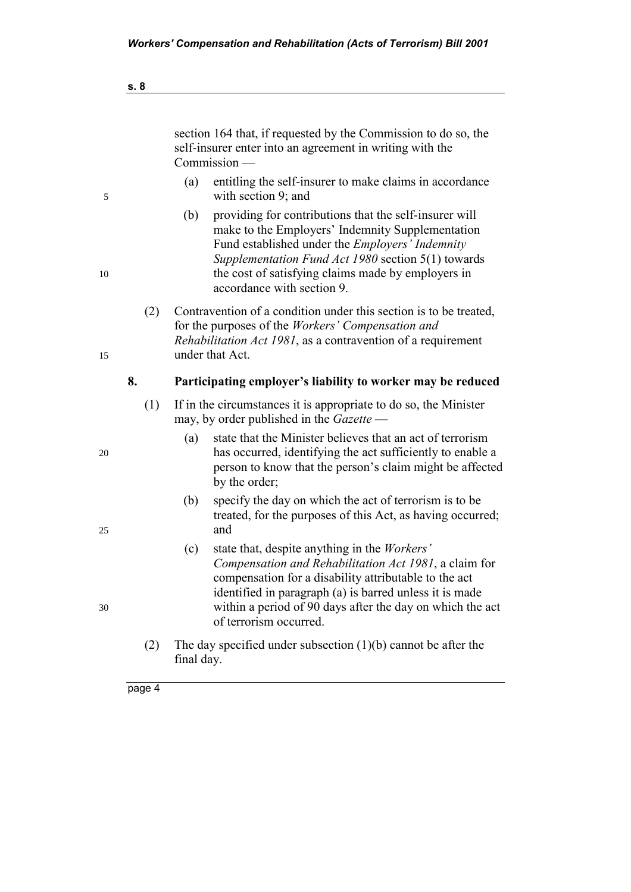|     | section 164 that, if requested by the Commission to do so, the<br>self-insurer enter into an agreement in writing with the<br>Commission -                                                                                                                                                                              |  |  |
|-----|-------------------------------------------------------------------------------------------------------------------------------------------------------------------------------------------------------------------------------------------------------------------------------------------------------------------------|--|--|
|     | (a)<br>entitling the self-insurer to make claims in accordance<br>with section 9; and                                                                                                                                                                                                                                   |  |  |
|     | providing for contributions that the self-insurer will<br>(b)<br>make to the Employers' Indemnity Supplementation<br>Fund established under the <i>Employers' Indemnity</i><br>Supplementation Fund Act 1980 section 5(1) towards<br>the cost of satisfying claims made by employers in<br>accordance with section 9.   |  |  |
| (2) | Contravention of a condition under this section is to be treated,<br>for the purposes of the Workers' Compensation and<br>Rehabilitation Act 1981, as a contravention of a requirement<br>under that Act.                                                                                                               |  |  |
| 8.  | Participating employer's liability to worker may be reduced                                                                                                                                                                                                                                                             |  |  |
| (1) | If in the circumstances it is appropriate to do so, the Minister<br>may, by order published in the <i>Gazette</i> —                                                                                                                                                                                                     |  |  |
|     | state that the Minister believes that an act of terrorism<br>(a)<br>has occurred, identifying the act sufficiently to enable a<br>person to know that the person's claim might be affected<br>by the order;                                                                                                             |  |  |
|     | (b)<br>specify the day on which the act of terrorism is to be<br>treated, for the purposes of this Act, as having occurred;<br>and                                                                                                                                                                                      |  |  |
|     | state that, despite anything in the Workers'<br>(c)<br>Compensation and Rehabilitation Act 1981, a claim for<br>compensation for a disability attributable to the act<br>identified in paragraph (a) is barred unless it is made<br>within a period of 90 days after the day on which the act<br>of terrorism occurred. |  |  |
| (2) | The day specified under subsection $(1)(b)$ cannot be after the<br>final day.                                                                                                                                                                                                                                           |  |  |
|     |                                                                                                                                                                                                                                                                                                                         |  |  |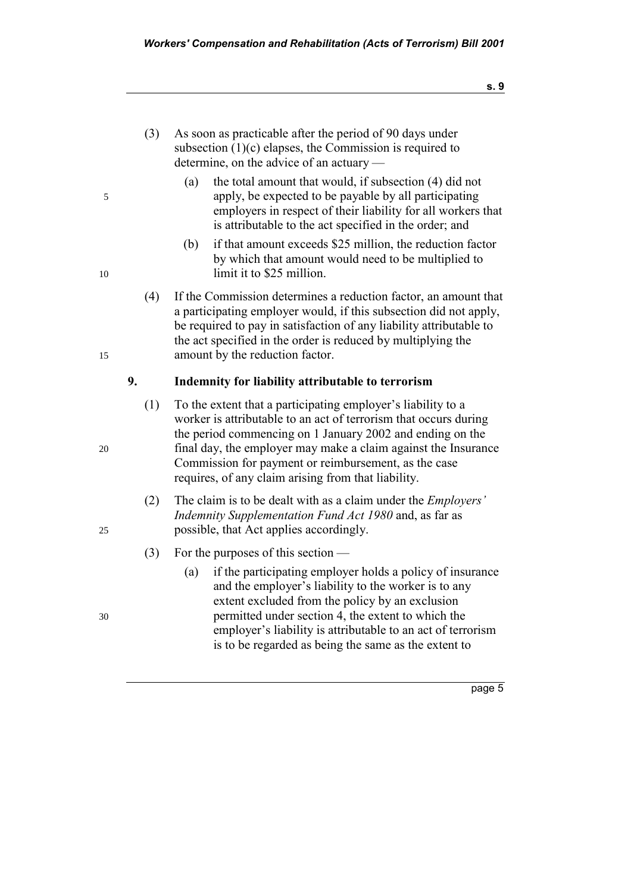- (3) As soon as practicable after the period of 90 days under subsection  $(1)(c)$  elapses, the Commission is required to determine, on the advice of an actuary  $-$
- (a) the total amount that would, if subsection (4) did not 5 apply, be expected to be payable by all participating employers in respect of their liability for all workers that is attributable to the act specified in the order; and
- (b) if that amount exceeds \$25 million, the reduction factor by which that amount would need to be multiplied to 10 limit it to \$25 million.
- (4) If the Commission determines a reduction factor, an amount that a participating employer would, if this subsection did not apply, be required to pay in satisfaction of any liability attributable to the act specified in the order is reduced by multiplying the 15 amount by the reduction factor.

#### **9. Indemnity for liability attributable to terrorism**

- $(1)$  To the extent that a participating employer's liability to a worker is attributable to an act of terrorism that occurs during the period commencing on 1 January 2002 and ending on the 20 final day, the employer may make a claim against the Insurance Commission for payment or reimbursement, as the case requires, of any claim arising from that liability.
- (2) The claim is to be dealt with as a claim under the *Employersí Indemnity Supplementation Fund Act 1980* and, as far as 25 possible, that Act applies accordingly.
	- (3) For the purposes of this section  $\overline{\phantom{a}}$
- (a) if the participating employer holds a policy of insurance and the employer's liability to the worker is to any extent excluded from the policy by an exclusion 30 permitted under section 4, the extent to which the employer's liability is attributable to an act of terrorism is to be regarded as being the same as the extent to